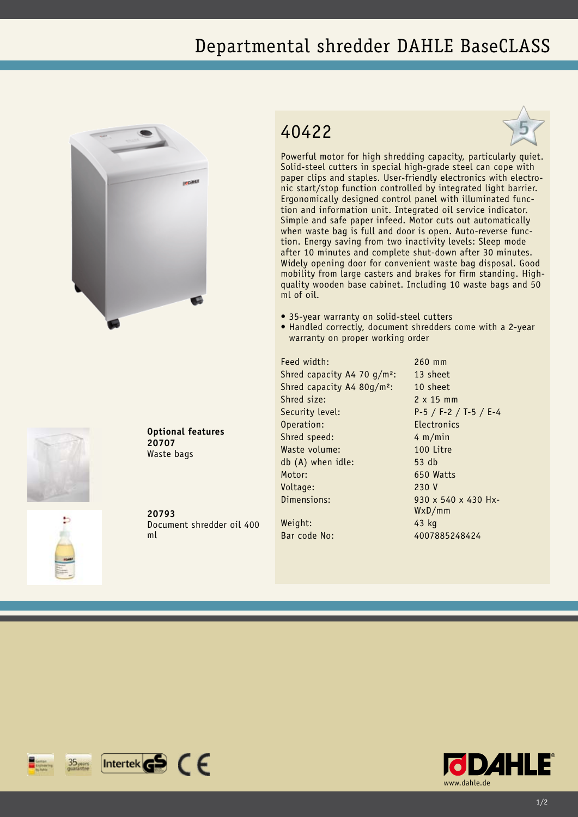## Departmental shredder DAHLE BaseCLASS





**Optional features 20707** Waste bags

**20793** Document shredder oil 400 ml

## 40422



Powerful motor for high shredding capacity, particularly quiet. Solid-steel cutters in special high-grade steel can cope with paper clips and staples. User-friendly electronics with electronic start/stop function controlled by integrated light barrier. Ergonomically designed control panel with illuminated function and information unit. Integrated oil service indicator. Simple and safe paper infeed. Motor cuts out automatically when waste bag is full and door is open. Auto-reverse function. Energy saving from two inactivity levels: Sleep mode after 10 minutes and complete shut-down after 30 minutes. Widely opening door for convenient waste bag disposal. Good mobility from large casters and brakes for firm standing. Highquality wooden base cabinet. Including 10 waste bags and 50 ml of oil.

- 35-year warranty on solid-steel cutters
- Handled correctly, document shredders come with a 2-year warranty on proper working order

Feed width: 260 mm Shred capacity A4 70 g/m<sup>2</sup>: 13 sheet Shred capacity A4 80g/m<sup>2</sup>: 10 sheet Shred size: 2 x 15 mm Security level: P-5 / F-2 / T-5 / E-4 Operation: Electronics Shred speed: 4 m/min Waste volume: 100 Litre db (A) when idle: 53 db Motor: 650 Watts Voltage: 230 V Dimensions: 930 x 540 x 430 Hx-Weight: 43 kg

WxD/mm

Bar code No: 4007885248424